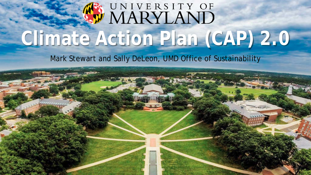# W MARYLAND **Climate Action Plan (CAP) 2.0**

Mark Stewart and Sally DeLeon, UMD Office of Sustainability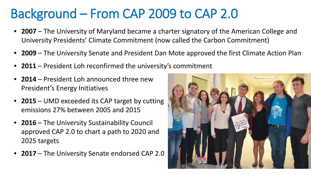## Background – From CAP 2009 to CAP 2.0

- **2007**  The University of Maryland became a charter signatory of the American College and University Presidents' Climate Commitment (now called the Carbon Commitment)
- **2009** The University Senate and President Dan Mote approved the first Climate Action Plan
- **2011** President Loh reconfirmed the university's commitment
- **2014** President Loh announced three new President's Energy Initiatives
- **2015** UMD exceeded its CAP target by cutting emissions 27% between 2005 and 2015
- **2016**  The University Sustainability Council approved CAP 2.0 to chart a path to 2020 and 2025 targets
- **2017** The University Senate endorsed CAP 2.0

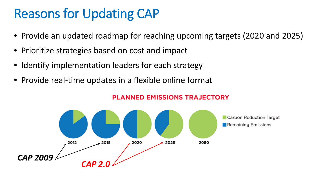# Reasons for Updating CAP

- Provide an updated roadmap for reaching upcoming targets (2020 and 2025)
- Prioritize strategies based on cost and impact
- Identify implementation leaders for each strategy
- Provide real-time updates in a flexible online format



#### **PLANNED EMISSIONS TRAJECTORY**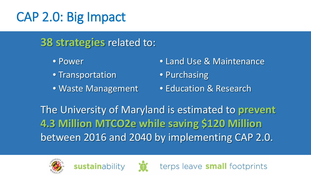## CAP 2.0: Big Impact

#### **38 strategies** related to:

- Power
- Transportation
- Waste Management

sustainability

• Land Use & Maintenance

terps leave **small** footprints

- Purchasing
- Education & Research

The University of Maryland is estimated to **prevent 4.3 Million MTCO2e while saving \$120 Million**  between 2016 and 2040 by implementing CAP 2.0.



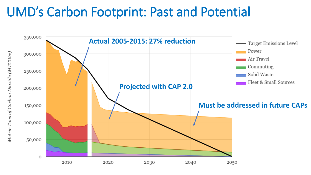#### UMD's Carbon Footprint: Past and Potential

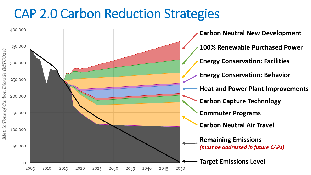#### CAP 2.0 Carbon Reduction Strategies